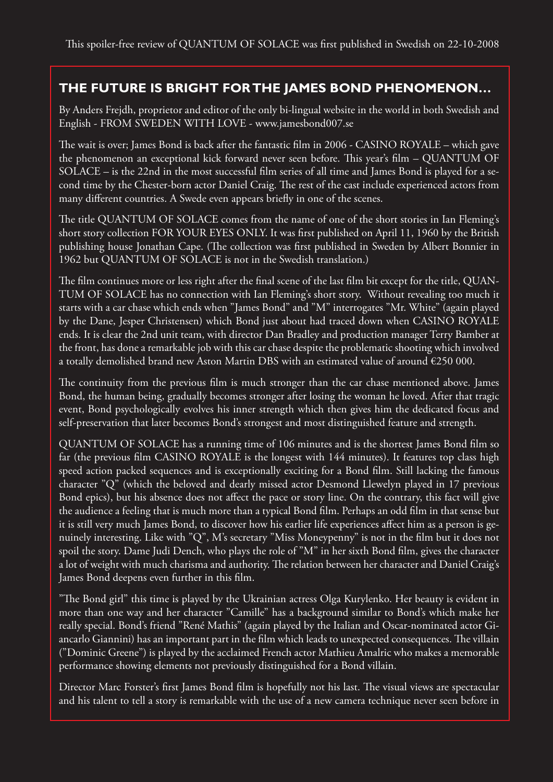## **THE FUTURE IS BRIGHT FOR THE JAMES BOND PHENOMENON…**

By Anders Frejdh, proprietor and editor of the only bi-lingual website in the world in both Swedish and English - FROM SWEDEN WITH LOVE - www.jamesbond007.se

The wait is over; James Bond is back after the fantastic film in 2006 - CASINO ROYALE – which gave the phenomenon an exceptional kick forward never seen before. This year's film – QUANTUM OF SOLACE – is the 22nd in the most successful film series of all time and James Bond is played for a second time by the Chester-born actor Daniel Craig. The rest of the cast include experienced actors from many different countries. A Swede even appears briefly in one of the scenes.

The title QUANTUM OF SOLACE comes from the name of one of the short stories in Ian Fleming's short story collection FOR YOUR EYES ONLY. It was first published on April 11, 1960 by the British publishing house Jonathan Cape. (The collection was first published in Sweden by Albert Bonnier in 1962 but QUANTUM OF SOLACE is not in the Swedish translation.)

The film continues more or less right after the final scene of the last film bit except for the title, QUAN-TUM OF SOLACE has no connection with Ian Fleming's short story. Without revealing too much it starts with a car chase which ends when "James Bond" and "M" interrogates "Mr. White" (again played by the Dane, Jesper Christensen) which Bond just about had traced down when CASINO ROYALE ends. It is clear the 2nd unit team, with director Dan Bradley and production manager Terry Bamber at the front, has done a remarkable job with this car chase despite the problematic shooting which involved a totally demolished brand new Aston Martin DBS with an estimated value of around  $\epsilon$ 250 000.

The continuity from the previous film is much stronger than the car chase mentioned above. James Bond, the human being, gradually becomes stronger after losing the woman he loved. After that tragic event, Bond psychologically evolves his inner strength which then gives him the dedicated focus and self-preservation that later becomes Bond's strongest and most distinguished feature and strength.

QUANTUM OF SOLACE has a running time of 106 minutes and is the shortest James Bond film so far (the previous film CASINO ROYALE is the longest with 144 minutes). It features top class high speed action packed sequences and is exceptionally exciting for a Bond film. Still lacking the famous character "Q" (which the beloved and dearly missed actor Desmond Llewelyn played in 17 previous Bond epics), but his absence does not affect the pace or story line. On the contrary, this fact will give the audience a feeling that is much more than a typical Bond film. Perhaps an odd film in that sense but it is still very much James Bond, to discover how his earlier life experiences affect him as a person is genuinely interesting. Like with "Q", M's secretary "Miss Moneypenny" is not in the film but it does not spoil the story. Dame Judi Dench, who plays the role of "M" in her sixth Bond film, gives the character a lot of weight with much charisma and authority. The relation between her character and Daniel Craig's James Bond deepens even further in this film.

"The Bond girl" this time is played by the Ukrainian actress Olga Kurylenko. Her beauty is evident in more than one way and her character "Camille" has a background similar to Bond's which make her really special. Bond's friend "René Mathis" (again played by the Italian and Oscar-nominated actor Giancarlo Giannini) has an important part in the film which leads to unexpected consequences. The villain ("Dominic Greene") is played by the acclaimed French actor Mathieu Amalric who makes a memorable performance showing elements not previously distinguished for a Bond villain.

Director Marc Forster's first James Bond film is hopefully not his last. The visual views are spectacular and his talent to tell a story is remarkable with the use of a new camera technique never seen before in